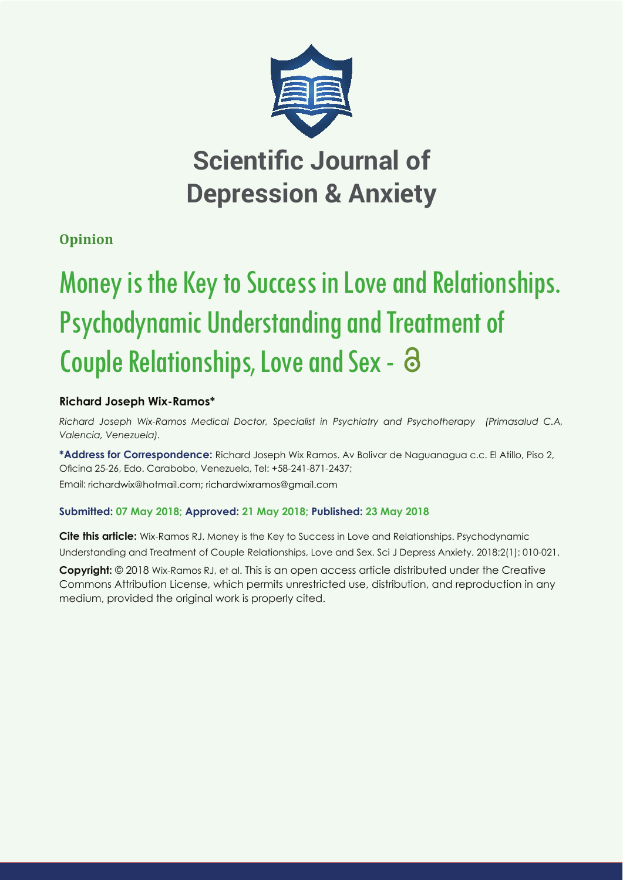

# **Opinion**

# Money is the Key to Success in Love and Relationships. Psychodynamic Understanding and Treatment of Couple Relationships, Love and Sex -

# **Richard Joseph Wix-Ramos\***

*Richard Joseph Wix-Ramos Medical Doctor, Specialist in Psychiatry and Psychotherapy (Primasalud C.A, Valencia, Venezuela).*

**\*Address for Correspondence:** Richard Joseph Wix Ramos. Av Bolivar de Naguanagua c.c. El Atillo, Piso 2, Oficina 25-26, Edo. Carabobo, Venezuela, Tel: +58-241-871-2437; Email: richardwix@hotmail.com; richardwixramos@gmail.com

# **Submitted: 07 May 2018; Approved: 21 May 2018; Published: 23 May 2018**

**Cite this article:** Wix-Ramos RJ. Money is the Key to Success in Love and Relationships. Psychodynamic Understanding and Treatment of Couple Relationships, Love and Sex. Sci J Depress Anxiety. 2018;2(1): 010-021.

**Copyright:** © 2018 Wix-Ramos RJ, et al. This is an open access article distributed under the Creative Commons Attribution License, which permits unrestricted use, distribution, and reproduction in any medium, provided the original work is properly cited.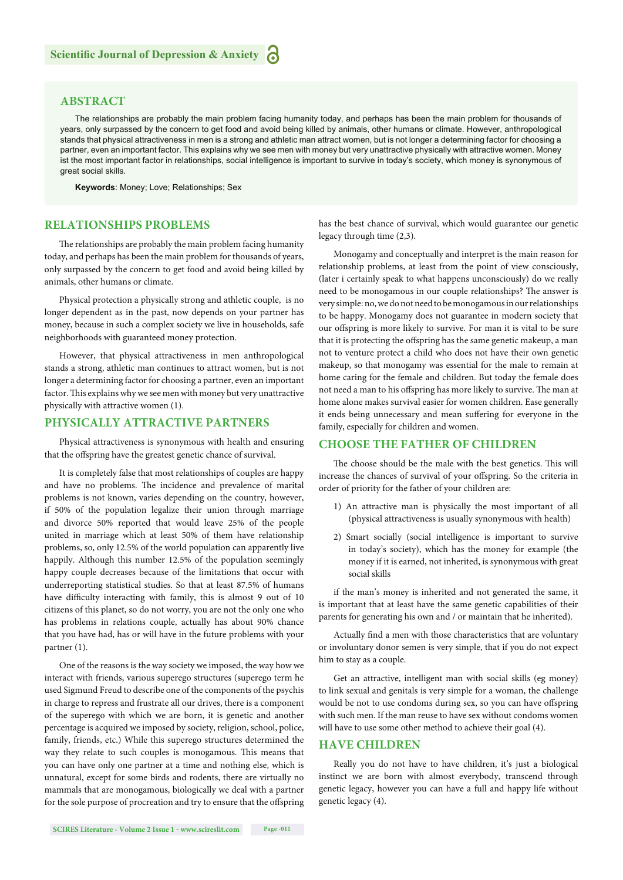# **ABSTRACT**

The relationships are probably the main problem facing humanity today, and perhaps has been the main problem for thousands of years, only surpassed by the concern to get food and avoid being killed by animals, other humans or climate. However, anthropological stands that physical attractiveness in men is a strong and athletic man attract women, but is not longer a determining factor for choosing a partner, even an important factor. This explains why we see men with money but very unattractive physically with attractive women. Money ist the most important factor in relationships, social intelligence is important to survive in today's society, which money is synonymous of great social skills.

**Keywords**: Money; Love; Relationships; Sex

# **RELATIONSHIPS PROBLEMS**

The relationships are probably the main problem facing humanity today, and perhaps has been the main problem for thousands of years, only surpassed by the concern to get food and avoid being killed by animals, other humans or climate.

Physical protection a physically strong and athletic couple, is no longer dependent as in the past, now depends on your partner has money, because in such a complex society we live in households, safe neighborhoods with guaranteed money protection.

However, that physical attractiveness in men anthropological stands a strong, athletic man continues to attract women, but is not longer a determining factor for choosing a partner, even an important factor. This explains why we see men with money but very unattractive physically with attractive women (1).

#### **PHYSICALLY ATTRACTIVE PARTNERS**

Physical attractiveness is synonymous with health and ensuring that the offspring have the greatest genetic chance of survival.

It is completely false that most relationships of couples are happy and have no problems. The incidence and prevalence of marital problems is not known, varies depending on the country, however, if 50% of the population legalize their union through marriage and divorce 50% reported that would leave 25% of the people united in marriage which at least 50% of them have relationship problems, so, only 12.5% of the world population can apparently live happily. Although this number 12.5% of the population seemingly happy couple decreases because of the limitations that occur with underreporting statistical studies. So that at least 87.5% of humans have difficulty interacting with family, this is almost 9 out of 10 citizens of this planet, so do not worry, you are not the only one who has problems in relations couple, actually has about 90% chance that you have had, has or will have in the future problems with your partner (1).

One of the reasons is the way society we imposed, the way how we interact with friends, various superego structures (superego term he used Sigmund Freud to describe one of the components of the psychis in charge to repress and frustrate all our drives, there is a component of the superego with which we are born, it is genetic and another percentage is acquired we imposed by society, religion, school, police, family, friends, etc.) While this superego structures determined the way they relate to such couples is monogamous. This means that you can have only one partner at a time and nothing else, which is unnatural, except for some birds and rodents, there are virtually no mammals that are monogamous, biologically we deal with a partner for the sole purpose of procreation and try to ensure that the offspring has the best chance of survival, which would guarantee our genetic legacy through time (2,3).

Monogamy and conceptually and interpret is the main reason for relationship problems, at least from the point of view consciously, (later i certainly speak to what happens unconsciously) do we really need to be monogamous in our couple relationships? The answer is very simple: no, we do not need to be monogamous in our relationships to be happy. Monogamy does not guarantee in modern society that our offspring is more likely to survive. For man it is vital to be sure that it is protecting the offspring has the same genetic makeup, a man not to venture protect a child who does not have their own genetic makeup, so that monogamy was essential for the male to remain at home caring for the female and children. But today the female does not need a man to his offspring has more likely to survive. The man at home alone makes survival easier for women children. Ease generally it ends being unnecessary and mean suffering for everyone in the family, especially for children and women.

#### **CHOOSE THE FATHER OF CHILDREN**

The choose should be the male with the best genetics. This will increase the chances of survival of your offspring. So the criteria in order of priority for the father of your children are:

- 1) An attractive man is physically the most important of all (physical attractiveness is usually synonymous with health)
- 2) Smart socially (social intelligence is important to survive in today's society), which has the money for example (the money if it is earned, not inherited, is synonymous with great social skills

if the man's money is inherited and not generated the same, it is important that at least have the same genetic capabilities of their parents for generating his own and / or maintain that he inherited).

Actually find a men with those characteristics that are voluntary or involuntary donor semen is very simple, that if you do not expect him to stay as a couple.

Get an attractive, intelligent man with social skills (eg money) to link sexual and genitals is very simple for a woman, the challenge would be not to use condoms during sex, so you can have offspring with such men. If the man reuse to have sex without condoms women will have to use some other method to achieve their goal (4).

#### **HAVE CHILDREN**

Really you do not have to have children, it's just a biological instinct we are born with almost everybody, transcend through genetic legacy, however you can have a full and happy life without genetic legacy (4).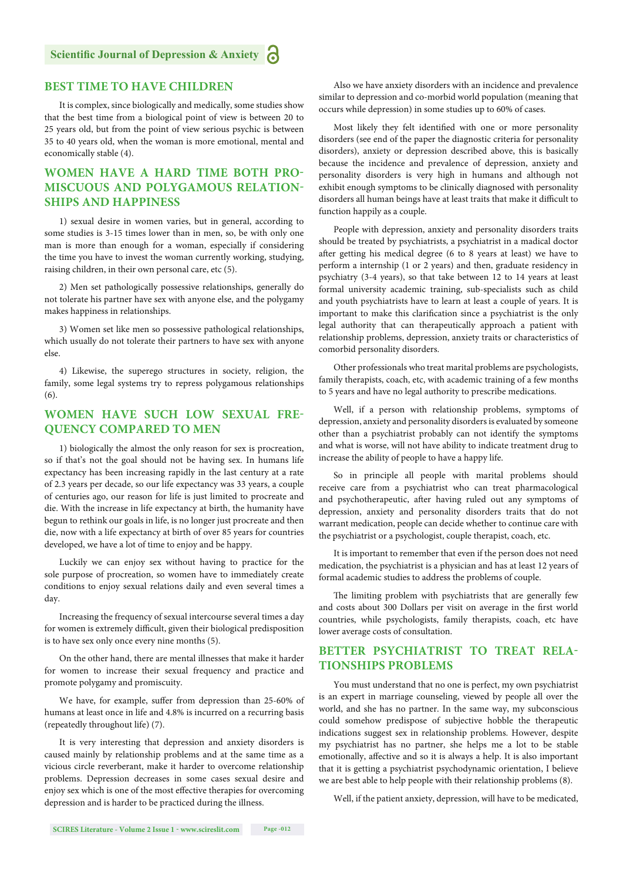#### **BEST TIME TO HAVE CHILDREN**

It is complex, since biologically and medically, some studies show that the best time from a biological point of view is between 20 to 25 years old, but from the point of view serious psychic is between 35 to 40 years old, when the woman is more emotional, mental and economically stable (4).

# **WOMEN HAVE A HARD TIME BOTH PRO-MISCUOUS AND POLYGAMOUS RELATION-SHIPS AND HAPPINESS**

1) sexual desire in women varies, but in general, according to some studies is 3-15 times lower than in men, so, be with only one man is more than enough for a woman, especially if considering the time you have to invest the woman currently working, studying, raising children, in their own personal care, etc (5).

2) Men set pathologically possessive relationships, generally do not tolerate his partner have sex with anyone else, and the polygamy makes happiness in relationships.

3) Women set like men so possessive pathological relationships, which usually do not tolerate their partners to have sex with anyone else.

4) Likewise, the superego structures in society, religion, the family, some legal systems try to repress polygamous relationships (6).

# **WOMEN HAVE SUCH LOW SEXUAL FRE-QUENCY COMPARED TO MEN**

1) biologically the almost the only reason for sex is procreation, so if that's not the goal should not be having sex. In humans life expectancy has been increasing rapidly in the last century at a rate of 2.3 years per decade, so our life expectancy was 33 years, a couple of centuries ago, our reason for life is just limited to procreate and die. With the increase in life expectancy at birth, the humanity have begun to rethink our goals in life, is no longer just procreate and then die, now with a life expectancy at birth of over 85 years for countries developed, we have a lot of time to enjoy and be happy.

Luckily we can enjoy sex without having to practice for the sole purpose of procreation, so women have to immediately create conditions to enjoy sexual relations daily and even several times a day.

Increasing the frequency of sexual intercourse several times a day for women is extremely difficult, given their biological predisposition is to have sex only once every nine months (5).

On the other hand, there are mental illnesses that make it harder for women to increase their sexual frequency and practice and promote polygamy and promiscuity.

We have, for example, suffer from depression than 25-60% of humans at least once in life and 4.8% is incurred on a recurring basis (repeatedly throughout life) (7).

It is very interesting that depression and anxiety disorders is caused mainly by relationship problems and at the same time as a vicious circle reverberant, make it harder to overcome relationship problems. Depression decreases in some cases sexual desire and enjoy sex which is one of the most effective therapies for overcoming depression and is harder to be practiced during the illness.

Also we have anxiety disorders with an incidence and prevalence similar to depression and co-morbid world population (meaning that occurs while depression) in some studies up to 60% of cases.

Most likely they felt identified with one or more personality disorders (see end of the paper the diagnostic criteria for personality disorders), anxiety or depression described above, this is basically because the incidence and prevalence of depression, anxiety and personality disorders is very high in humans and although not exhibit enough symptoms to be clinically diagnosed with personality disorders all human beings have at least traits that make it difficult to function happily as a couple.

People with depression, anxiety and personality disorders traits should be treated by psychiatrists, a psychiatrist in a madical doctor after getting his medical degree (6 to 8 years at least) we have to perform a internship (1 or 2 years) and then, graduate residency in psychiatry (3-4 years), so that take between 12 to 14 years at least formal university academic training, sub-specialists such as child and youth psychiatrists have to learn at least a couple of years. It is important to make this clarification since a psychiatrist is the only legal authority that can therapeutically approach a patient with relationship problems, depression, anxiety traits or characteristics of comorbid personality disorders.

Other professionals who treat marital problems are psychologists, family therapists, coach, etc, with academic training of a few months to 5 years and have no legal authority to prescribe medications.

Well, if a person with relationship problems, symptoms of depression, anxiety and personality disorders is evaluated by someone other than a psychiatrist probably can not identify the symptoms and what is worse, will not have ability to indicate treatment drug to increase the ability of people to have a happy life.

So in principle all people with marital problems should receive care from a psychiatrist who can treat pharmacological and psychotherapeutic, after having ruled out any symptoms of depression, anxiety and personality disorders traits that do not warrant medication, people can decide whether to continue care with the psychiatrist or a psychologist, couple therapist, coach, etc.

It is important to remember that even if the person does not need medication, the psychiatrist is a physician and has at least 12 years of formal academic studies to address the problems of couple.

The limiting problem with psychiatrists that are generally few and costs about 300 Dollars per visit on average in the first world countries, while psychologists, family therapists, coach, etc have lower average costs of consultation.

# **BETTER PSYCHIATRIST TO TREAT RELA-TIONSHIPS PROBLEMS**

You must understand that no one is perfect, my own psychiatrist is an expert in marriage counseling, viewed by people all over the world, and she has no partner. In the same way, my subconscious could somehow predispose of subjective hobble the therapeutic indications suggest sex in relationship problems. However, despite my psychiatrist has no partner, she helps me a lot to be stable emotionally, affective and so it is always a help. It is also important that it is getting a psychiatrist psychodynamic orientation, I believe we are best able to help people with their relationship problems (8).

Well, if the patient anxiety, depression, will have to be medicated,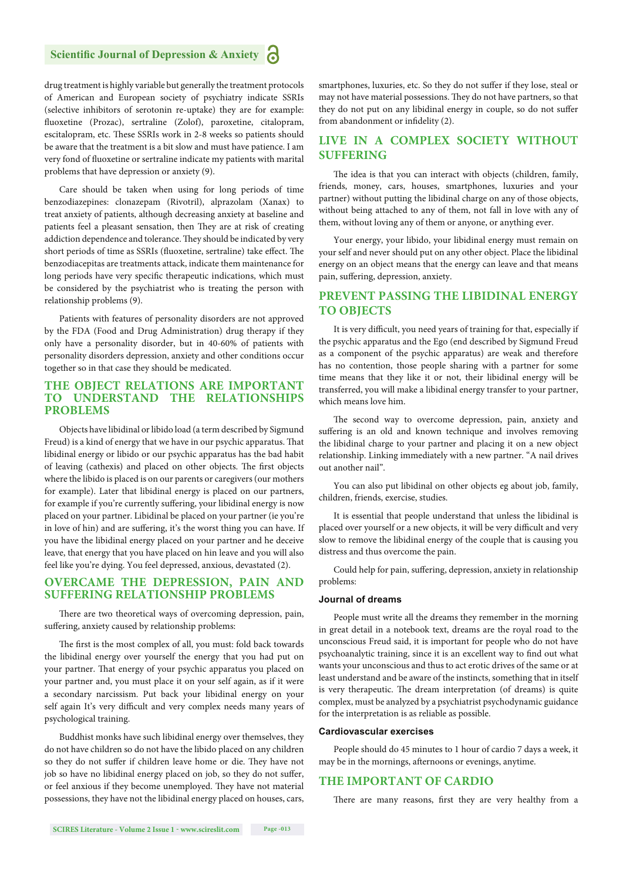drug treatment is highly variable but generally the treatment protocols of American and European society of psychiatry indicate SSRIs (selective inhibitors of serotonin re-uptake) they are for example: fluoxetine (Prozac), sertraline (Zolof), paroxetine, citalopram, escitalopram, etc. These SSRIs work in 2-8 weeks so patients should be aware that the treatment is a bit slow and must have patience. I am very fond of fluoxetine or sertraline indicate my patients with marital problems that have depression or anxiety (9).

Care should be taken when using for long periods of time benzodiazepines: clonazepam (Rivotril), alprazolam (Xanax) to treat anxiety of patients, although decreasing anxiety at baseline and patients feel a pleasant sensation, then They are at risk of creating addiction dependence and tolerance. They should be indicated by very short periods of time as SSRIs (fluoxetine, sertraline) take effect. The benzodiacepitas are treatments attack, indicate them maintenance for long periods have very specific therapeutic indications, which must be considered by the psychiatrist who is treating the person with relationship problems (9).

Patients with features of personality disorders are not approved by the FDA (Food and Drug Administration) drug therapy if they only have a personality disorder, but in 40-60% of patients with personality disorders depression, anxiety and other conditions occur together so in that case they should be medicated.

# **THE OBJECT RELATIONS ARE IMPORTANT TO UNDERSTAND THE RELATIONSHIPS PROBLEMS**

Objects have libidinal or libido load (a term described by Sigmund Freud) is a kind of energy that we have in our psychic apparatus. That libidinal energy or libido or our psychic apparatus has the bad habit of leaving (cathexis) and placed on other objects. The first objects where the libido is placed is on our parents or caregivers (our mothers for example). Later that libidinal energy is placed on our partners, for example if you're currently suffering, your libidinal energy is now placed on your partner. Libidinal be placed on your partner (ie you're in love of hin) and are suffering, it's the worst thing you can have. If you have the libidinal energy placed on your partner and he deceive leave, that energy that you have placed on hin leave and you will also feel like you're dying. You feel depressed, anxious, devastated (2).

## **OVERCAME THE DEPRESSION, PAIN AND SUFFERING RELATIONSHIP PROBLEMS**

There are two theoretical ways of overcoming depression, pain, suffering, anxiety caused by relationship problems:

The first is the most complex of all, you must: fold back towards the libidinal energy over yourself the energy that you had put on your partner. That energy of your psychic apparatus you placed on your partner and, you must place it on your self again, as if it were a secondary narcissism. Put back your libidinal energy on your self again It's very difficult and very complex needs many years of psychological training.

Buddhist monks have such libidinal energy over themselves, they do not have children so do not have the libido placed on any children so they do not suffer if children leave home or die. They have not job so have no libidinal energy placed on job, so they do not suffer, or feel anxious if they become unemployed. They have not material possessions, they have not the libidinal energy placed on houses, cars, smartphones, luxuries, etc. So they do not suffer if they lose, steal or may not have material possessions. They do not have partners, so that they do not put on any libidinal energy in couple, so do not suffer from abandonment or infidelity (2).

#### **LIVE IN A COMPLEX SOCIETY WITHOUT SUFFERING**

The idea is that you can interact with objects (children, family, friends, money, cars, houses, smartphones, luxuries and your partner) without putting the libidinal charge on any of those objects, without being attached to any of them, not fall in love with any of them, without loving any of them or anyone, or anything ever.

Your energy, your libido, your libidinal energy must remain on your self and never should put on any other object. Place the libidinal energy on an object means that the energy can leave and that means pain, suffering, depression, anxiety.

# **PREVENT PASSING THE LIBIDINAL ENERGY TO OBJECTS**

It is very difficult, you need years of training for that, especially if the psychic apparatus and the Ego (end described by Sigmund Freud as a component of the psychic apparatus) are weak and therefore has no contention, those people sharing with a partner for some time means that they like it or not, their libidinal energy will be transferred, you will make a libidinal energy transfer to your partner, which means love him.

The second way to overcome depression, pain, anxiety and suffering is an old and known technique and involves removing the libidinal charge to your partner and placing it on a new object relationship. Linking immediately with a new partner. "A nail drives out another nail".

You can also put libidinal on other objects eg about job, family, children, friends, exercise, studies.

It is essential that people understand that unless the libidinal is placed over yourself or a new objects, it will be very difficult and very slow to remove the libidinal energy of the couple that is causing you distress and thus overcome the pain.

Could help for pain, suffering, depression, anxiety in relationship problems:

#### **Journal of dreams**

People must write all the dreams they remember in the morning in great detail in a notebook text, dreams are the royal road to the unconscious Freud said, it is important for people who do not have psychoanalytic training, since it is an excellent way to find out what wants your unconscious and thus to act erotic drives of the same or at least understand and be aware of the instincts, something that in itself is very therapeutic. The dream interpretation (of dreams) is quite complex, must be analyzed by a psychiatrist psychodynamic guidance for the interpretation is as reliable as possible.

#### **Cardiovascular exercises**

People should do 45 minutes to 1 hour of cardio 7 days a week, it may be in the mornings, afternoons or evenings, anytime.

#### **THE IMPORTANT OF CARDIO**

There are many reasons, first they are very healthy from a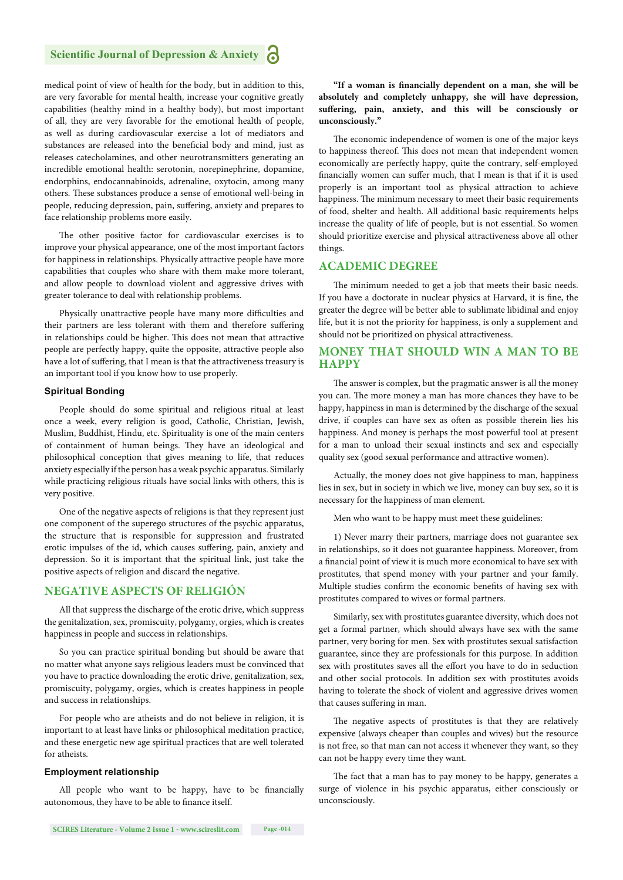medical point of view of health for the body, but in addition to this, are very favorable for mental health, increase your cognitive greatly capabilities (healthy mind in a healthy body), but most important of all, they are very favorable for the emotional health of people, as well as during cardiovascular exercise a lot of mediators and substances are released into the beneficial body and mind, just as releases catecholamines, and other neurotransmitters generating an incredible emotional health: serotonin, norepinephrine, dopamine, endorphins, endocannabinoids, adrenaline, oxytocin, among many others. These substances produce a sense of emotional well-being in people, reducing depression, pain, suffering, anxiety and prepares to face relationship problems more easily.

The other positive factor for cardiovascular exercises is to improve your physical appearance, one of the most important factors for happiness in relationships. Physically attractive people have more capabilities that couples who share with them make more tolerant, and allow people to download violent and aggressive drives with greater tolerance to deal with relationship problems.

Physically unattractive people have many more difficulties and their partners are less tolerant with them and therefore suffering in relationships could be higher. This does not mean that attractive people are perfectly happy, quite the opposite, attractive people also have a lot of suffering, that I mean is that the attractiveness treasury is an important tool if you know how to use properly.

#### **Spiritual Bonding**

People should do some spiritual and religious ritual at least once a week, every religion is good, Catholic, Christian, Jewish, Muslim, Buddhist, Hindu, etc. Spirituality is one of the main centers of containment of human beings. They have an ideological and philosophical conception that gives meaning to life, that reduces anxiety especially if the person has a weak psychic apparatus. Similarly while practicing religious rituals have social links with others, this is very positive.

One of the negative aspects of religions is that they represent just one component of the superego structures of the psychic apparatus, the structure that is responsible for suppression and frustrated erotic impulses of the id, which causes suffering, pain, anxiety and depression. So it is important that the spiritual link, just take the positive aspects of religion and discard the negative.

#### **NEGATIVE ASPECTS OF RELIGIÓN**

All that suppress the discharge of the erotic drive, which suppress the genitalization, sex, promiscuity, polygamy, orgies, which is creates happiness in people and success in relationships.

So you can practice spiritual bonding but should be aware that no matter what anyone says religious leaders must be convinced that you have to practice downloading the erotic drive, genitalization, sex, promiscuity, polygamy, orgies, which is creates happiness in people and success in relationships.

For people who are atheists and do not believe in religion, it is important to at least have links or philosophical meditation practice, and these energetic new age spiritual practices that are well tolerated for atheists.

#### **Employment relationship**

All people who want to be happy, have to be financially autonomous, they have to be able to finance itself.

"If a woman is financially dependent on a man, she will be **absolutely and completely unhappy, she will have depression,**  suffering, pain, anxiety, and this will be consciously or **unconsciously."**

The economic independence of women is one of the major keys to happiness thereof. This does not mean that independent women economically are perfectly happy, quite the contrary, self-employed financially women can suffer much, that I mean is that if it is used properly is an important tool as physical attraction to achieve happiness. The minimum necessary to meet their basic requirements of food, shelter and health. All additional basic requirements helps increase the quality of life of people, but is not essential. So women should prioritize exercise and physical attractiveness above all other things.

#### **ACADEMIC DEGREE**

The minimum needed to get a job that meets their basic needs. If you have a doctorate in nuclear physics at Harvard, it is fine, the greater the degree will be better able to sublimate libidinal and enjoy life, but it is not the priority for happiness, is only a supplement and should not be prioritized on physical attractiveness.

#### **MONEY THAT SHOULD WIN A MAN TO BE HAPPY**

The answer is complex, but the pragmatic answer is all the money you can. The more money a man has more chances they have to be happy, happiness in man is determined by the discharge of the sexual drive, if couples can have sex as often as possible therein lies his happiness. And money is perhaps the most powerful tool at present for a man to unload their sexual instincts and sex and especially quality sex (good sexual performance and attractive women).

Actually, the money does not give happiness to man, happiness lies in sex, but in society in which we live, money can buy sex, so it is necessary for the happiness of man element.

Men who want to be happy must meet these guidelines:

1) Never marry their partners, marriage does not guarantee sex in relationships, so it does not guarantee happiness. Moreover, from a financial point of view it is much more economical to have sex with prostitutes, that spend money with your partner and your family. Multiple studies confirm the economic benefits of having sex with prostitutes compared to wives or formal partners.

Similarly, sex with prostitutes guarantee diversity, which does not get a formal partner, which should always have sex with the same partner, very boring for men. Sex with prostitutes sexual satisfaction guarantee, since they are professionals for this purpose. In addition sex with prostitutes saves all the effort you have to do in seduction and other social protocols. In addition sex with prostitutes avoids having to tolerate the shock of violent and aggressive drives women that causes suffering in man.

The negative aspects of prostitutes is that they are relatively expensive (always cheaper than couples and wives) but the resource is not free, so that man can not access it whenever they want, so they can not be happy every time they want.

The fact that a man has to pay money to be happy, generates a surge of violence in his psychic apparatus, either consciously or unconsciously.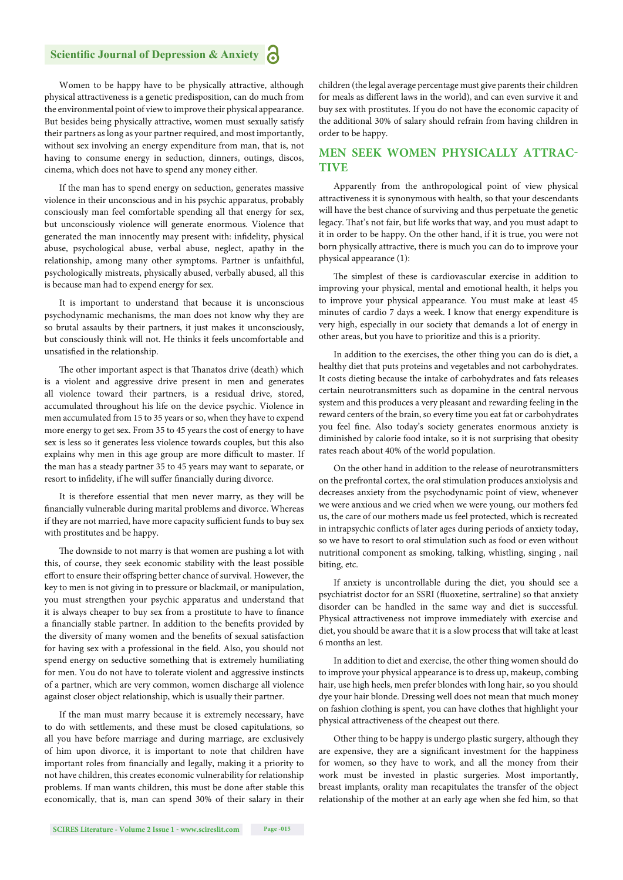Women to be happy have to be physically attractive, although physical attractiveness is a genetic predisposition, can do much from the environmental point of view to improve their physical appearance. But besides being physically attractive, women must sexually satisfy their partners as long as your partner required, and most importantly, without sex involving an energy expenditure from man, that is, not having to consume energy in seduction, dinners, outings, discos, cinema, which does not have to spend any money either.

If the man has to spend energy on seduction, generates massive violence in their unconscious and in his psychic apparatus, probably consciously man feel comfortable spending all that energy for sex, but unconsciously violence will generate enormous. Violence that generated the man innocently may present with: infidelity, physical abuse, psychological abuse, verbal abuse, neglect, apathy in the relationship, among many other symptoms. Partner is unfaithful, psychologically mistreats, physically abused, verbally abused, all this is because man had to expend energy for sex.

It is important to understand that because it is unconscious psychodynamic mechanisms, the man does not know why they are so brutal assaults by their partners, it just makes it unconsciously, but consciously think will not. He thinks it feels uncomfortable and unsatisfied in the relationship.

The other important aspect is that Thanatos drive (death) which is a violent and aggressive drive present in men and generates all violence toward their partners, is a residual drive, stored, accumulated throughout his life on the device psychic. Violence in men accumulated from 15 to 35 years or so, when they have to expend more energy to get sex. From 35 to 45 years the cost of energy to have sex is less so it generates less violence towards couples, but this also explains why men in this age group are more difficult to master. If the man has a steady partner 35 to 45 years may want to separate, or resort to infidelity, if he will suffer financially during divorce.

It is therefore essential that men never marry, as they will be financially vulnerable during marital problems and divorce. Whereas if they are not married, have more capacity sufficient funds to buy sex with prostitutes and be happy.

The downside to not marry is that women are pushing a lot with this, of course, they seek economic stability with the least possible effort to ensure their offspring better chance of survival. However, the key to men is not giving in to pressure or blackmail, or manipulation, you must strengthen your psychic apparatus and understand that it is always cheaper to buy sex from a prostitute to have to finance a financially stable partner. In addition to the benefits provided by the diversity of many women and the benefits of sexual satisfaction for having sex with a professional in the field. Also, you should not spend energy on seductive something that is extremely humiliating for men. You do not have to tolerate violent and aggressive instincts of a partner, which are very common, women discharge all violence against closer object relationship, which is usually their partner.

If the man must marry because it is extremely necessary, have to do with settlements, and these must be closed capitulations, so all you have before marriage and during marriage, are exclusively of him upon divorce, it is important to note that children have important roles from financially and legally, making it a priority to not have children, this creates economic vulnerability for relationship problems. If man wants children, this must be done after stable this economically, that is, man can spend 30% of their salary in their children (the legal average percentage must give parents their children for meals as different laws in the world), and can even survive it and buy sex with prostitutes. If you do not have the economic capacity of the additional 30% of salary should refrain from having children in order to be happy.

# **MEN SEEK WOMEN PHYSICALLY ATTRAC-TIVE**

Apparently from the anthropological point of view physical attractiveness it is synonymous with health, so that your descendants will have the best chance of surviving and thus perpetuate the genetic legacy. That's not fair, but life works that way, and you must adapt to it in order to be happy. On the other hand, if it is true, you were not born physically attractive, there is much you can do to improve your physical appearance (1):

The simplest of these is cardiovascular exercise in addition to improving your physical, mental and emotional health, it helps you to improve your physical appearance. You must make at least 45 minutes of cardio 7 days a week. I know that energy expenditure is very high, especially in our society that demands a lot of energy in other areas, but you have to prioritize and this is a priority.

In addition to the exercises, the other thing you can do is diet, a healthy diet that puts proteins and vegetables and not carbohydrates. It costs dieting because the intake of carbohydrates and fats releases certain neurotransmitters such as dopamine in the central nervous system and this produces a very pleasant and rewarding feeling in the reward centers of the brain, so every time you eat fat or carbohydrates you feel fine. Also today's society generates enormous anxiety is diminished by calorie food intake, so it is not surprising that obesity rates reach about 40% of the world population.

On the other hand in addition to the release of neurotransmitters on the prefrontal cortex, the oral stimulation produces anxiolysis and decreases anxiety from the psychodynamic point of view, whenever we were anxious and we cried when we were young, our mothers fed us, the care of our mothers made us feel protected, which is recreated in intrapsychic conflicts of later ages during periods of anxiety today, so we have to resort to oral stimulation such as food or even without nutritional component as smoking, talking, whistling, singing , nail biting, etc.

If anxiety is uncontrollable during the diet, you should see a psychiatrist doctor for an SSRI (fluoxetine, sertraline) so that anxiety disorder can be handled in the same way and diet is successful. Physical attractiveness not improve immediately with exercise and diet, you should be aware that it is a slow process that will take at least 6 months an lest.

In addition to diet and exercise, the other thing women should do to improve your physical appearance is to dress up, makeup, combing hair, use high heels, men prefer blondes with long hair, so you should dye your hair blonde. Dressing well does not mean that much money on fashion clothing is spent, you can have clothes that highlight your physical attractiveness of the cheapest out there.

Other thing to be happy is undergo plastic surgery, although they are expensive, they are a significant investment for the happiness for women, so they have to work, and all the money from their work must be invested in plastic surgeries. Most importantly, breast implants, orality man recapitulates the transfer of the object relationship of the mother at an early age when she fed him, so that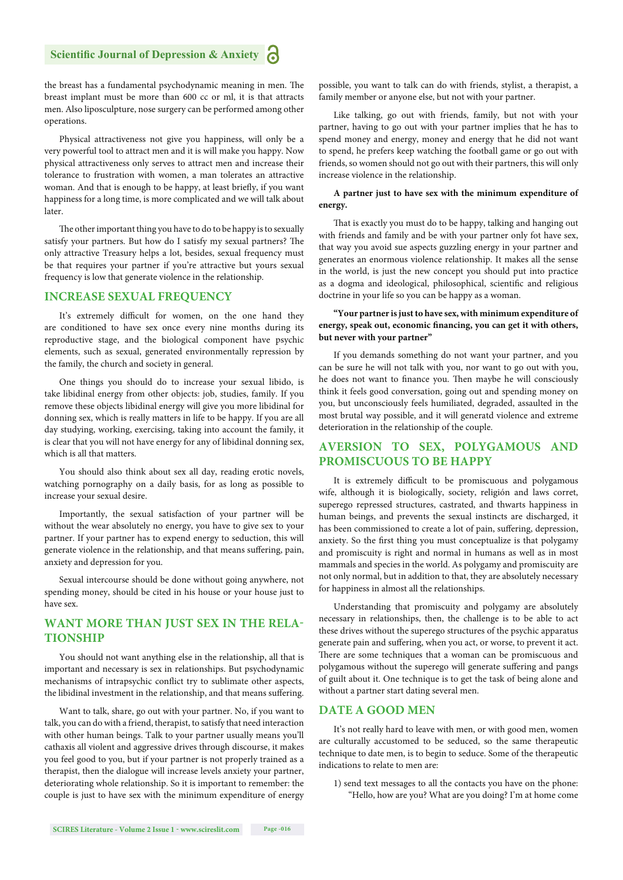the breast has a fundamental psychodynamic meaning in men. The breast implant must be more than 600 cc or ml, it is that attracts men. Also liposculpture, nose surgery can be performed among other operations.

Physical attractiveness not give you happiness, will only be a very powerful tool to attract men and it is will make you happy. Now physical attractiveness only serves to attract men and increase their tolerance to frustration with women, a man tolerates an attractive woman. And that is enough to be happy, at least briefly, if you want happiness for a long time, is more complicated and we will talk about later.

The other important thing you have to do to be happy is to sexually satisfy your partners. But how do I satisfy my sexual partners? The only attractive Treasury helps a lot, besides, sexual frequency must be that requires your partner if you're attractive but yours sexual frequency is low that generate violence in the relationship.

#### **INCREASE SEXUAL FREQUENCY**

It's extremely difficult for women, on the one hand they are conditioned to have sex once every nine months during its reproductive stage, and the biological component have psychic elements, such as sexual, generated environmentally repression by the family, the church and society in general.

One things you should do to increase your sexual libido, is take libidinal energy from other objects: job, studies, family. If you remove these objects libidinal energy will give you more libidinal for donning sex, which is really matters in life to be happy. If you are all day studying, working, exercising, taking into account the family, it is clear that you will not have energy for any of libidinal donning sex, which is all that matters.

You should also think about sex all day, reading erotic novels, watching pornography on a daily basis, for as long as possible to increase your sexual desire.

Importantly, the sexual satisfaction of your partner will be without the wear absolutely no energy, you have to give sex to your partner. If your partner has to expend energy to seduction, this will generate violence in the relationship, and that means suffering, pain, anxiety and depression for you.

Sexual intercourse should be done without going anywhere, not spending money, should be cited in his house or your house just to have sex.

# **WANT MORE THAN JUST SEX IN THE RELA-TIONSHIP**

You should not want anything else in the relationship, all that is important and necessary is sex in relationships. But psychodynamic mechanisms of intrapsychic conflict try to sublimate other aspects, the libidinal investment in the relationship, and that means suffering.

Want to talk, share, go out with your partner. No, if you want to talk, you can do with a friend, therapist, to satisfy that need interaction with other human beings. Talk to your partner usually means you'll cathaxis all violent and aggressive drives through discourse, it makes you feel good to you, but if your partner is not properly trained as a therapist, then the dialogue will increase levels anxiety your partner, deteriorating whole relationship. So it is important to remember: the couple is just to have sex with the minimum expenditure of energy

possible, you want to talk can do with friends, stylist, a therapist, a family member or anyone else, but not with your partner.

Like talking, go out with friends, family, but not with your partner, having to go out with your partner implies that he has to spend money and energy, money and energy that he did not want to spend, he prefers keep watching the football game or go out with friends, so women should not go out with their partners, this will only increase violence in the relationship.

#### **A partner just to have sex with the minimum expenditure of energy.**

That is exactly you must do to be happy, talking and hanging out with friends and family and be with your partner only fot have sex, that way you avoid sue aspects guzzling energy in your partner and generates an enormous violence relationship. It makes all the sense in the world, is just the new concept you should put into practice as a dogma and ideological, philosophical, scientific and religious doctrine in your life so you can be happy as a woman.

#### **"Your partner is just to have sex, with minimum expenditure of**  energy, speak out, economic financing, you can get it with others, **but never with your partner"**

If you demands something do not want your partner, and you can be sure he will not talk with you, nor want to go out with you, he does not want to finance you. Then maybe he will consciously think it feels good conversation, going out and spending money on you, but unconsciously feels humiliated, degraded, assaulted in the most brutal way possible, and it will generatd violence and extreme deterioration in the relationship of the couple.

# **AVERSION TO SEX, POLYGAMOUS AND PROMISCUOUS TO BE HAPPY**

It is extremely difficult to be promiscuous and polygamous wife, although it is biologically, society, religión and laws corret, superego repressed structures, castrated, and thwarts happiness in human beings, and prevents the sexual instincts are discharged, it has been commissioned to create a lot of pain, suffering, depression, anxiety. So the first thing you must conceptualize is that polygamy and promiscuity is right and normal in humans as well as in most mammals and species in the world. As polygamy and promiscuity are not only normal, but in addition to that, they are absolutely necessary for happiness in almost all the relationships.

Understanding that promiscuity and polygamy are absolutely necessary in relationships, then, the challenge is to be able to act these drives without the superego structures of the psychic apparatus generate pain and suffering, when you act, or worse, to prevent it act. There are some techniques that a woman can be promiscuous and polygamous without the superego will generate suffering and pangs of guilt about it. One technique is to get the task of being alone and without a partner start dating several men.

#### **DATE A GOOD MEN**

It's not really hard to leave with men, or with good men, women are culturally accustomed to be seduced, so the same therapeutic technique to date men, is to begin to seduce. Some of the therapeutic indications to relate to men are:

1) send text messages to all the contacts you have on the phone: "Hello, how are you? What are you doing? I'm at home come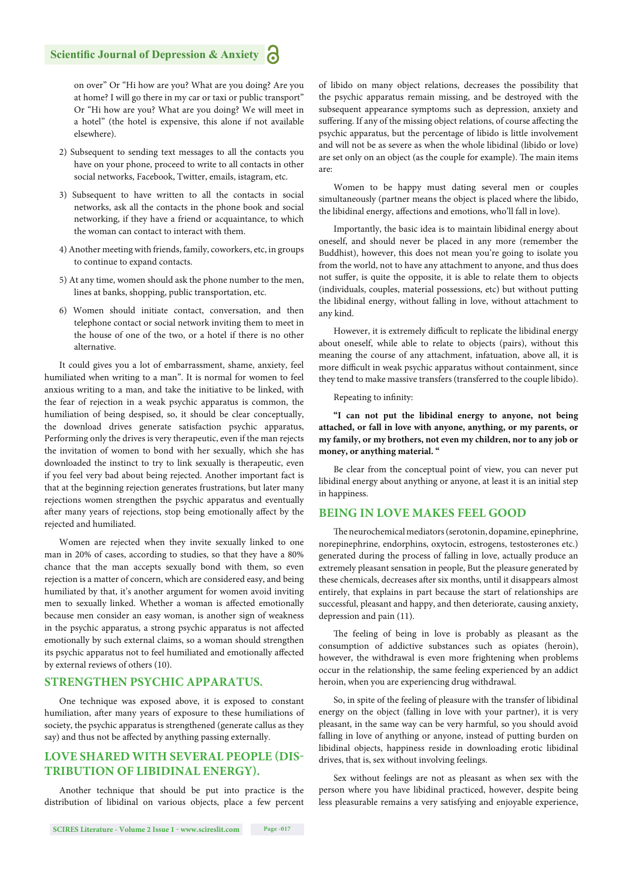on over" Or "Hi how are you? What are you doing? Are you at home? I will go there in my car or taxi or public transport" Or "Hi how are you? What are you doing? We will meet in a hotel" (the hotel is expensive, this alone if not available elsewhere).

- 2) Subsequent to sending text messages to all the contacts you have on your phone, proceed to write to all contacts in other social networks, Facebook, Twitter, emails, istagram, etc.
- 3) Subsequent to have written to all the contacts in social networks, ask all the contacts in the phone book and social networking, if they have a friend or acquaintance, to which the woman can contact to interact with them.
- 4) Another meeting with friends, family, coworkers, etc, in groups to continue to expand contacts.
- 5) At any time, women should ask the phone number to the men, lines at banks, shopping, public transportation, etc.
- 6) Women should initiate contact, conversation, and then telephone contact or social network inviting them to meet in the house of one of the two, or a hotel if there is no other alternative.

It could gives you a lot of embarrassment, shame, anxiety, feel humiliated when writing to a man". It is normal for women to feel anxious writing to a man, and take the initiative to be linked, with the fear of rejection in a weak psychic apparatus is common, the humiliation of being despised, so, it should be clear conceptually, the download drives generate satisfaction psychic apparatus, Performing only the drives is very therapeutic, even if the man rejects the invitation of women to bond with her sexually, which she has downloaded the instinct to try to link sexually is therapeutic, even if you feel very bad about being rejected. Another important fact is that at the beginning rejection generates frustrations, but later many rejections women strengthen the psychic apparatus and eventually after many years of rejections, stop being emotionally affect by the rejected and humiliated.

Women are rejected when they invite sexually linked to one man in 20% of cases, according to studies, so that they have a 80% chance that the man accepts sexually bond with them, so even rejection is a matter of concern, which are considered easy, and being humiliated by that, it's another argument for women avoid inviting men to sexually linked. Whether a woman is affected emotionally because men consider an easy woman, is another sign of weakness in the psychic apparatus, a strong psychic apparatus is not affected emotionally by such external claims, so a woman should strengthen its psychic apparatus not to feel humiliated and emotionally affected by external reviews of others (10).

# **STRENGTHEN PSYCHIC APPARATUS.**

One technique was exposed above, it is exposed to constant humiliation, after many years of exposure to these humiliations of society, the psychic apparatus is strengthened (generate callus as they say) and thus not be affected by anything passing externally.

# **LOVE SHARED WITH SEVERAL PEOPLE (DIS-TRIBUTION OF LIBIDINAL ENERGY).**

Another technique that should be put into practice is the distribution of libidinal on various objects, place a few percent

of libido on many object relations, decreases the possibility that the psychic apparatus remain missing, and be destroyed with the subsequent appearance symptoms such as depression, anxiety and suffering. If any of the missing object relations, of course affecting the psychic apparatus, but the percentage of libido is little involvement and will not be as severe as when the whole libidinal (libido or love) are set only on an object (as the couple for example). The main items are:

Women to be happy must dating several men or couples simultaneously (partner means the object is placed where the libido, the libidinal energy, affections and emotions, who'll fall in love).

Importantly, the basic idea is to maintain libidinal energy about oneself, and should never be placed in any more (remember the Buddhist), however, this does not mean you're going to isolate you from the world, not to have any attachment to anyone, and thus does not suffer, is quite the opposite, it is able to relate them to objects (individuals, couples, material possessions, etc) but without putting the libidinal energy, without falling in love, without attachment to any kind.

However, it is extremely difficult to replicate the libidinal energy about oneself, while able to relate to objects (pairs), without this meaning the course of any attachment, infatuation, above all, it is more difficult in weak psychic apparatus without containment, since they tend to make massive transfers (transferred to the couple libido).

Repeating to infinity:

**"I can not put the libidinal energy to anyone, not being attached, or fall in love with anyone, anything, or my parents, or my family, or my brothers, not even my children, nor to any job or money, or anything material. "**

Be clear from the conceptual point of view, you can never put libidinal energy about anything or anyone, at least it is an initial step in happiness.

#### **BEING IN LOVE MAKES FEEL GOOD**

The neurochemical mediators (serotonin, dopamine, epinephrine, norepinephrine, endorphins, oxytocin, estrogens, testosterones etc.) generated during the process of falling in love, actually produce an extremely pleasant sensation in people, But the pleasure generated by these chemicals, decreases after six months, until it disappears almost entirely, that explains in part because the start of relationships are successful, pleasant and happy, and then deteriorate, causing anxiety, depression and pain (11).

The feeling of being in love is probably as pleasant as the consumption of addictive substances such as opiates (heroin), however, the withdrawal is even more frightening when problems occur in the relationship, the same feeling experienced by an addict heroin, when you are experiencing drug withdrawal.

So, in spite of the feeling of pleasure with the transfer of libidinal energy on the object (falling in love with your partner), it is very pleasant, in the same way can be very harmful, so you should avoid falling in love of anything or anyone, instead of putting burden on libidinal objects, happiness reside in downloading erotic libidinal drives, that is, sex without involving feelings.

Sex without feelings are not as pleasant as when sex with the person where you have libidinal practiced, however, despite being less pleasurable remains a very satisfying and enjoyable experience,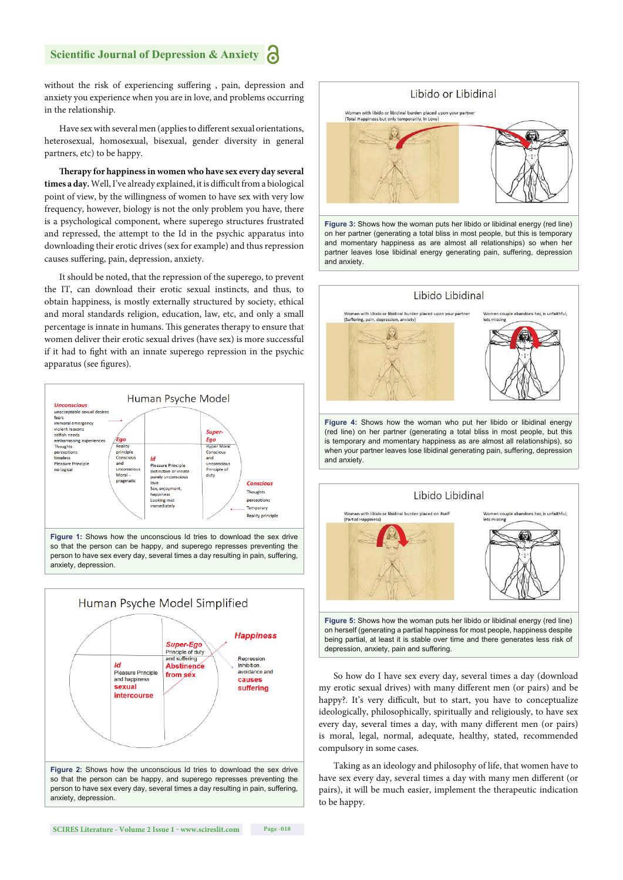# **Scientific Journal of Depression & Anxiety**

without the risk of experiencing suffering, pain, depression and anxiety you experience when you are in love, and problems occurring in the relationship.

Have sex with several men (applies to different sexual orientations, heterosexual, homosexual, bisexual, gender diversity in general partners, etc) to be happy.

Therapy for happiness in women who have sex every day several times a day. Well, I've already explained, it is difficult from a biological point of view, by the willingness of women to have sex with very low frequency, however, biology is not the only problem you have, there is a psychological component, where superego structures frustrated and repressed, the attempt to the Id in the psychic apparatus into downloading their erotic drives (sex for example) and thus repression causes suffering, pain, depression, anxiety.

It should be noted, that the repression of the superego, to prevent the IT, can download their erotic sexual instincts, and thus, to obtain happiness, is mostly externally structured by society, ethical and moral standards religion, education, law, etc, and only a small percentage is innate in humans. This generates therapy to ensure that women deliver their erotic sexual drives (have sex) is more successful if it had to fight with an innate superego repression in the psychic apparatus (see figures).



so that the person can be happy, and superego represses preventing the person to have sex every day, several times a day resulting in pain, suffering, anxiety, depression.







**Figure 3:** Shows how the woman puts her libido or libidinal energy (red line) on her partner (generating a total bliss in most people, but this is temporary and momentary happiness as are almost all relationships) so when her partner leaves lose libidinal energy generating pain, suffering, depression and anxiety.



(red line) on her partner (generating a total bliss in most people, but this is temporary and momentary happiness as are almost all relationships), so when your partner leaves lose libidinal generating pain, suffering, depression and anxiety.



So how do I have sex every day, several times a day (download my erotic sexual drives) with many different men (or pairs) and be happy?. It's very difficult, but to start, you have to conceptualize ideologically, philosophically, spiritually and religiously, to have sex every day, several times a day, with many different men (or pairs) is moral, legal, normal, adequate, healthy, stated, recommended compulsory in some cases.

Taking as an ideology and philosophy of life, that women have to have sex every day, several times a day with many men different (or pairs), it will be much easier, implement the therapeutic indication to be happy.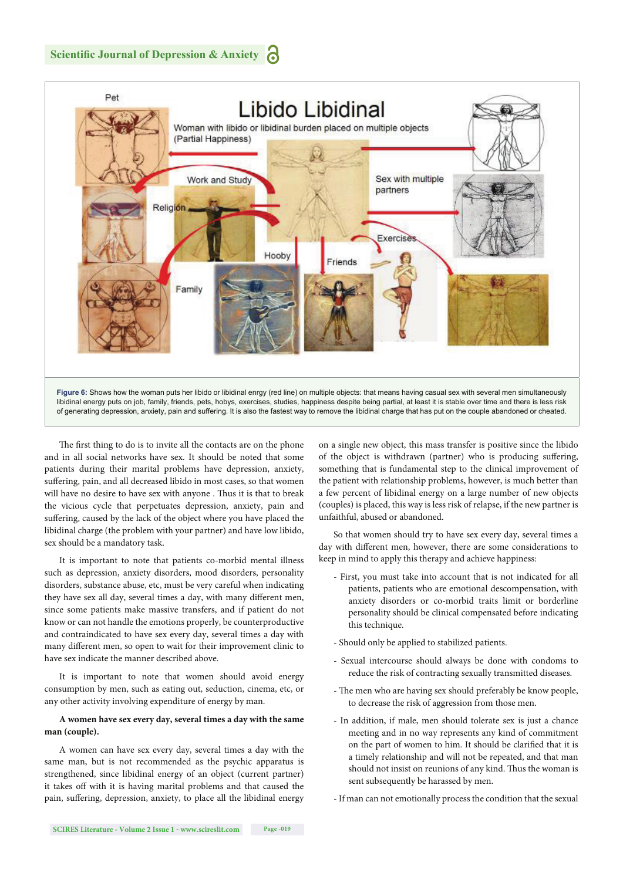

The first thing to do is to invite all the contacts are on the phone and in all social networks have sex. It should be noted that some patients during their marital problems have depression, anxiety, suffering, pain, and all decreased libido in most cases, so that women will have no desire to have sex with anyone . Thus it is that to break the vicious cycle that perpetuates depression, anxiety, pain and suffering, caused by the lack of the object where you have placed the libidinal charge (the problem with your partner) and have low libido, sex should be a mandatory task.

It is important to note that patients co-morbid mental illness such as depression, anxiety disorders, mood disorders, personality disorders, substance abuse, etc, must be very careful when indicating they have sex all day, several times a day, with many different men, since some patients make massive transfers, and if patient do not know or can not handle the emotions properly, be counterproductive and contraindicated to have sex every day, several times a day with many different men, so open to wait for their improvement clinic to have sex indicate the manner described above.

It is important to note that women should avoid energy consumption by men, such as eating out, seduction, cinema, etc, or any other activity involving expenditure of energy by man.

#### **A women have sex every day, several times a day with the same man (couple).**

A women can have sex every day, several times a day with the same man, but is not recommended as the psychic apparatus is strengthened, since libidinal energy of an object (current partner) it takes off with it is having marital problems and that caused the pain, suffering, depression, anxiety, to place all the libidinal energy on a single new object, this mass transfer is positive since the libido of the object is withdrawn (partner) who is producing suffering, something that is fundamental step to the clinical improvement of the patient with relationship problems, however, is much better than a few percent of libidinal energy on a large number of new objects (couples) is placed, this way is less risk of relapse, if the new partner is unfaithful, abused or abandoned.

So that women should try to have sex every day, several times a day with different men, however, there are some considerations to keep in mind to apply this therapy and achieve happiness:

- First, you must take into account that is not indicated for all patients, patients who are emotional descompensation, with anxiety disorders or co-morbid traits limit or borderline personality should be clinical compensated before indicating this technique.
- Should only be applied to stabilized patients.
- Sexual intercourse should always be done with condoms to reduce the risk of contracting sexually transmitted diseases.
- The men who are having sex should preferably be know people, to decrease the risk of aggression from those men.
- In addition, if male, men should tolerate sex is just a chance meeting and in no way represents any kind of commitment on the part of women to him. It should be clarified that it is a timely relationship and will not be repeated, and that man should not insist on reunions of any kind. Thus the woman is sent subsequently be harassed by men.
- If man can not emotionally process the condition that the sexual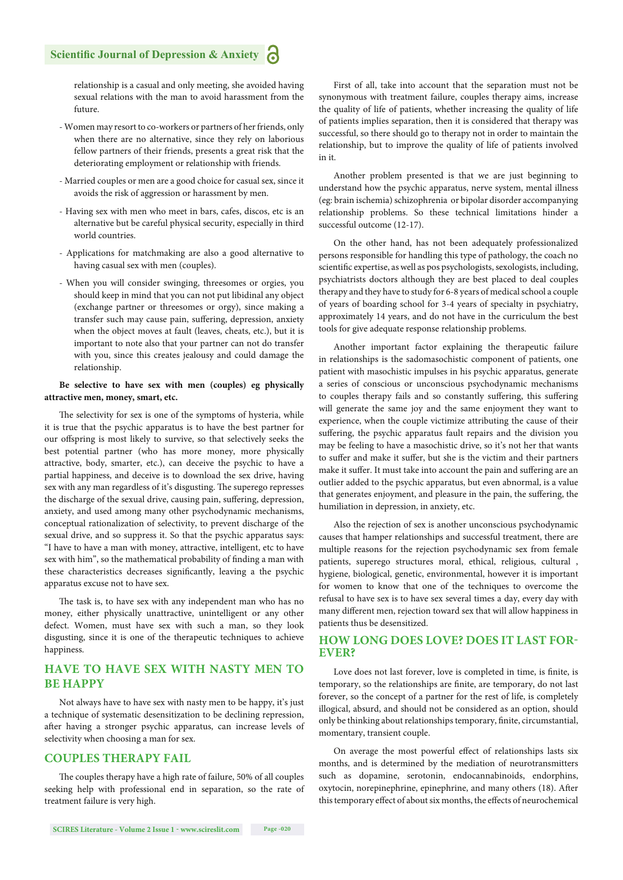relationship is a casual and only meeting, she avoided having sexual relations with the man to avoid harassment from the future.

- Women may resort to co-workers or partners of her friends, only when there are no alternative, since they rely on laborious fellow partners of their friends, presents a great risk that the deteriorating employment or relationship with friends.
- Married couples or men are a good choice for casual sex, since it avoids the risk of aggression or harassment by men.
- Having sex with men who meet in bars, cafes, discos, etc is an alternative but be careful physical security, especially in third world countries.
- Applications for matchmaking are also a good alternative to having casual sex with men (couples).
- When you will consider swinging, threesomes or orgies, you should keep in mind that you can not put libidinal any object (exchange partner or threesomes or orgy), since making a transfer such may cause pain, suffering, depression, anxiety when the object moves at fault (leaves, cheats, etc.), but it is important to note also that your partner can not do transfer with you, since this creates jealousy and could damage the relationship.

#### **Be selective to have sex with men (couples) eg physically attractive men, money, smart, etc.**

The selectivity for sex is one of the symptoms of hysteria, while it is true that the psychic apparatus is to have the best partner for our offspring is most likely to survive, so that selectively seeks the best potential partner (who has more money, more physically attractive, body, smarter, etc.), can deceive the psychic to have a partial happiness, and deceive is to download the sex drive, having sex with any man regardless of it's disgusting. The superego represses the discharge of the sexual drive, causing pain, suffering, depression, anxiety, and used among many other psychodynamic mechanisms, conceptual rationalization of selectivity, to prevent discharge of the sexual drive, and so suppress it. So that the psychic apparatus says: "I have to have a man with money, attractive, intelligent, etc to have sex with him", so the mathematical probability of finding a man with these characteristics decreases significantly, leaving a the psychic apparatus excuse not to have sex.

The task is, to have sex with any independent man who has no money, either physically unattractive, unintelligent or any other defect. Women, must have sex with such a man, so they look disgusting, since it is one of the therapeutic techniques to achieve happiness.

# **HAVE TO HAVE SEX WITH NASTY MEN TO BE HAPPY**

Not always have to have sex with nasty men to be happy, it's just a technique of systematic desensitization to be declining repression, after having a stronger psychic apparatus, can increase levels of selectivity when choosing a man for sex.

#### **COUPLES THERAPY FAIL**

The couples therapy have a high rate of failure, 50% of all couples seeking help with professional end in separation, so the rate of treatment failure is very high.

First of all, take into account that the separation must not be synonymous with treatment failure, couples therapy aims, increase the quality of life of patients, whether increasing the quality of life of patients implies separation, then it is considered that therapy was successful, so there should go to therapy not in order to maintain the relationship, but to improve the quality of life of patients involved in it.

Another problem presented is that we are just beginning to understand how the psychic apparatus, nerve system, mental illness (eg: brain ischemia) schizophrenia or bipolar disorder accompanying relationship problems. So these technical limitations hinder a successful outcome (12-17).

On the other hand, has not been adequately professionalized persons responsible for handling this type of pathology, the coach no scientific expertise, as well as pos psychologists, sexologists, including, psychiatrists doctors although they are best placed to deal couples therapy and they have to study for 6-8 years of medical school a couple of years of boarding school for 3-4 years of specialty in psychiatry, approximately 14 years, and do not have in the curriculum the best tools for give adequate response relationship problems.

Another important factor explaining the therapeutic failure in relationships is the sadomasochistic component of patients, one patient with masochistic impulses in his psychic apparatus, generate a series of conscious or unconscious psychodynamic mechanisms to couples therapy fails and so constantly suffering, this suffering will generate the same joy and the same enjoyment they want to experience, when the couple victimize attributing the cause of their suffering, the psychic apparatus fault repairs and the division you may be feeling to have a masochistic drive, so it's not her that wants to suffer and make it suffer, but she is the victim and their partners make it suffer. It must take into account the pain and suffering are an outlier added to the psychic apparatus, but even abnormal, is a value that generates enjoyment, and pleasure in the pain, the suffering, the humiliation in depression, in anxiety, etc.

Also the rejection of sex is another unconscious psychodynamic causes that hamper relationships and successful treatment, there are multiple reasons for the rejection psychodynamic sex from female patients, superego structures moral, ethical, religious, cultural , hygiene, biological, genetic, environmental, however it is important for women to know that one of the techniques to overcome the refusal to have sex is to have sex several times a day, every day with many different men, rejection toward sex that will allow happiness in patients thus be desensitized.

#### **HOW LONG DOES LOVE? DOES IT LAST FOR-EVER?**

Love does not last forever, love is completed in time, is finite, is temporary, so the relationships are finite, are temporary, do not last forever, so the concept of a partner for the rest of life, is completely illogical, absurd, and should not be considered as an option, should only be thinking about relationships temporary, finite, circumstantial, momentary, transient couple.

On average the most powerful effect of relationships lasts six months, and is determined by the mediation of neurotransmitters such as dopamine, serotonin, endocannabinoids, endorphins, oxytocin, norepinephrine, epinephrine, and many others (18). After this temporary effect of about six months, the effects of neurochemical